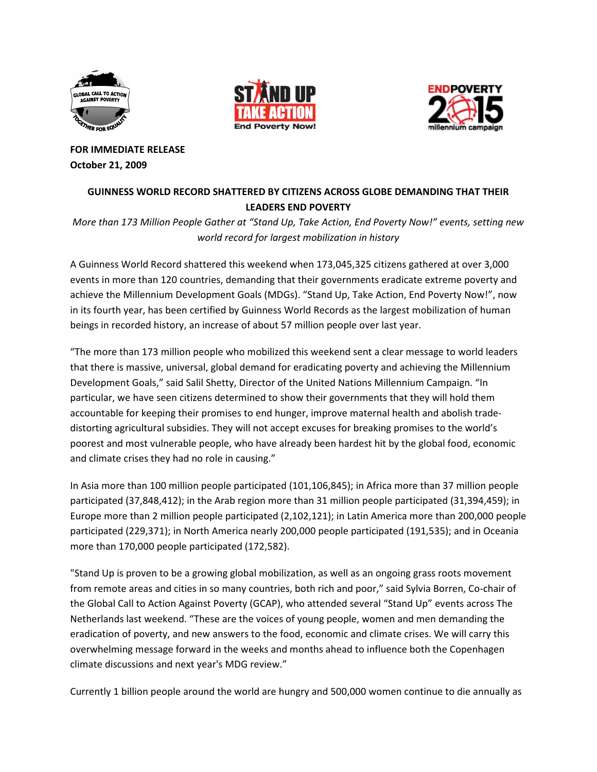





**FOR IMMEDIATE RELEASE October 21, 2009** 

## GUINNESS WORLD RECORD SHATTERED BY CITIZENS ACROSS GLOBE DEMANDING THAT THEIR **LEADERS END POVERTY**

More than 173 Million People Gather at "Stand Up, Take Action, End Poverty Now!" events, setting new world record for largest mobilization in history

A Guinness World Record shattered this weekend when 173,045,325 citizens gathered at over 3,000 events in more than 120 countries, demanding that their governments eradicate extreme poverty and achieve the Millennium Development Goals (MDGs). "Stand Up, Take Action, End Poverty Now!", now in its fourth year, has been certified by Guinness World Records as the largest mobilization of human beings in recorded history, an increase of about 57 million people over last year.

"The more than 173 million people who mobilized this weekend sent a clear message to world leaders that there is massive, universal, global demand for eradicating poverty and achieving the Millennium Development Goals," said Salil Shetty, Director of the United Nations Millennium Campaign. "In particular, we have seen citizens determined to show their governments that they will hold them accountable for keeping their promises to end hunger, improve maternal health and abolish tradedistorting agricultural subsidies. They will not accept excuses for breaking promises to the world's poorest and most vulnerable people, who have already been hardest hit by the global food, economic and climate crises they had no role in causing."

In Asia more than 100 million people participated (101,106,845); in Africa more than 37 million people participated (37,848,412); in the Arab region more than 31 million people participated (31,394,459); in Europe more than 2 million people participated (2,102,121); in Latin America more than 200,000 people participated (229,371); in North America nearly 200,000 people participated (191,535); and in Oceania more than 170,000 people participated (172,582).

"Stand Up is proven to be a growing global mobilization, as well as an ongoing grass roots movement from remote areas and cities in so many countries, both rich and poor," said Sylvia Borren, Co-chair of the Global Call to Action Against Poverty (GCAP), who attended several "Stand Up" events across The Netherlands last weekend. "These are the voices of young people, women and men demanding the eradication of poverty, and new answers to the food, economic and climate crises. We will carry this overwhelming message forward in the weeks and months ahead to influence both the Copenhagen climate discussions and next year's MDG review."

Currently 1 billion people around the world are hungry and 500,000 women continue to die annually as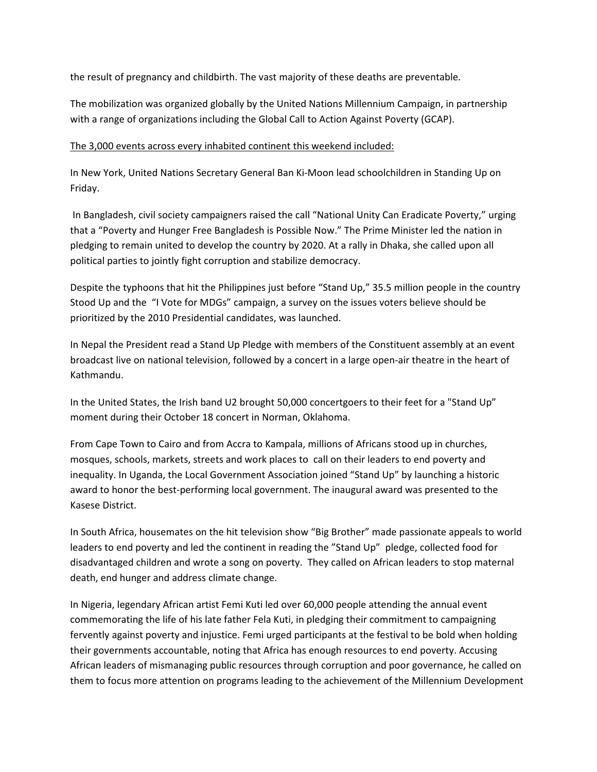the result of pregnancy and childbirth. The vast majority of these deaths are preventable.

The mobilization was organized globally by the United Nations Millennium Campaign, in partnership with a range of organizations including the Global Call to Action Against Poverty (GCAP).

## The 3,000 events across every inhabited continent this weekend included:

In New York, United Nations Secretary General Ban Ki-Moon lead schoolchildren in Standing Up on Friday.

In Bangladesh, civil society campaigners raised the call "National Unity Can Eradicate Poverty," urging that a "Poverty and Hunger Free Bangladesh is Possible Now." The Prime Minister led the nation in pledging to remain united to develop the country by 2020. At a rally in Dhaka, she called upon all political parties to jointly fight corruption and stabilize democracy.

Despite the typhoons that hit the Philippines just before "Stand Up," 35.5 million people in the country Stood Up and the "I Vote for MDGs" campaign, a survey on the issues voters believe should be prioritized by the 2010 Presidential candidates, was launched.

In Nepal the President read a Stand Up Pledge with members of the Constituent assembly at an event broadcast live on national television, followed by a concert in a large open-air theatre in the heart of Kathmandu.

In the United States, the Irish band U2 brought 50,000 concertgoers to their feet for a "Stand Up" moment during their October 18 concert in Norman, Oklahoma.

From Cape Town to Cairo and from Accra to Kampala, millions of Africans stood up in churches, mosques, schools, markets, streets and work places to call on their leaders to end poverty and inequality. In Uganda, the Local Government Association joined "Stand Up" by launching a historic award to honor the best-performing local government. The inaugural award was presented to the Kasese District.

In South Africa, housemates on the hit television show "Big Brother" made passionate appeals to world leaders to end poverty and led the continent in reading the "Stand Up" pledge, collected food for disadvantaged children and wrote a song on poverty. They called on African leaders to stop maternal death, end hunger and address climate change.

In Nigeria, legendary African artist Femi Kuti led over 60,000 people attending the annual event commemorating the life of his late father Fela Kuti, in pledging their commitment to campaigning fervently against poverty and injustice. Femi urged participants at the festival to be bold when holding their governments accountable, noting that Africa has enough resources to end poverty. Accusing African leaders of mismanaging public resources through corruption and poor governance, he called on them to focus more attention on programs leading to the achievement of the Millennium Development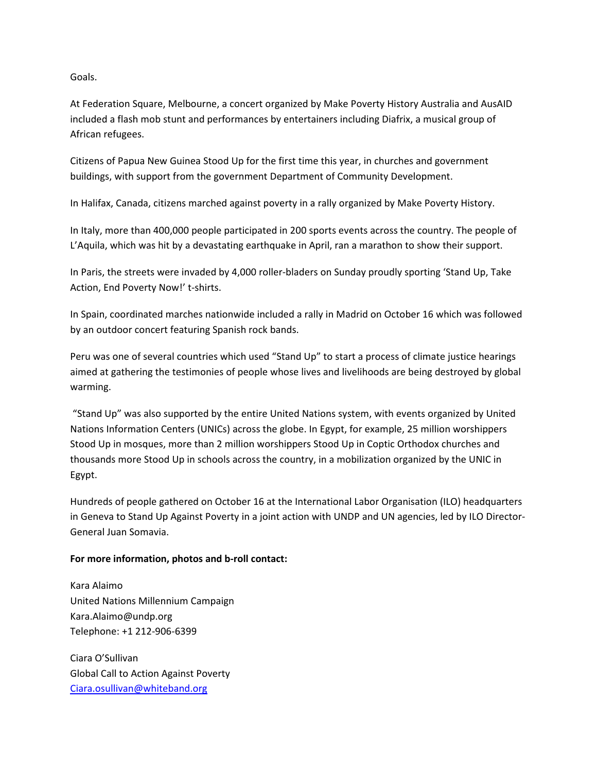Goals.

At Federation Square, Melbourne, a concert organized by Make Poverty History Australia and AusAID included a flash mob stunt and performances by entertainers including Diafrix, a musical group of African refugees.

Citizens of Papua New Guinea Stood Up for the first time this year, in churches and government buildings, with support from the government Department of Community Development.

In Halifax, Canada, citizens marched against poverty in a rally organized by Make Poverty History.

In Italy, more than 400,000 people participated in 200 sports events across the country. The people of L'Aquila, which was hit by a devastating earthquake in April, ran a marathon to show their support.

In Paris, the streets were invaded by 4,000 roller-bladers on Sunday proudly sporting 'Stand Up, Take Action, End Poverty Now!' t-shirts.

In Spain, coordinated marches nationwide included a rally in Madrid on October 16 which was followed by an outdoor concert featuring Spanish rock bands.

Peru was one of several countries which used "Stand Up" to start a process of climate justice hearings aimed at gathering the testimonies of people whose lives and livelihoods are being destroyed by global warming.

"Stand Up" was also supported by the entire United Nations system, with events organized by United Nations Information Centers (UNICs) across the globe. In Egypt, for example, 25 million worshippers Stood Up in mosques, more than 2 million worshippers Stood Up in Coptic Orthodox churches and thousands more Stood Up in schools across the country, in a mobilization organized by the UNIC in Egypt.

Hundreds of people gathered on October 16 at the International Labor Organisation (ILO) headquarters in Geneva to Stand Up Against Poverty in a joint action with UNDP and UN agencies, led by ILO Director-General Juan Somavia.

## For more information, photos and b-roll contact:

Kara Alaimo United Nations Millennium Campaign Kara.Alaimo@undp.org Telephone: +1 212-906-6399

Ciara O'Sullivan **Global Call to Action Against Poverty** Ciara.osullivan@whiteband.org